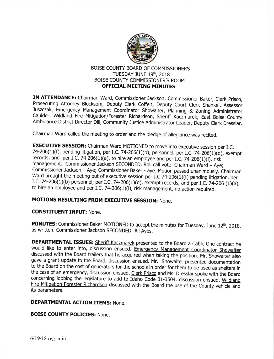

# BOISE COUNTY BOARD OF COMMISSIONERS TUESDAY JUNE 19th, 2018 BOISE COUNTY COMMISSIONER'S ROOM OFFICIAL MEETING MINUTES

IN ATTENDANCE: Chairman Ward, Commissioner Jackson, Commissioner Baker, Clerk Prisco, Prosecuting Attorney Blocksom, Deputy clerk coffelt, Deputy court clerk shankel, Assessor Juszczak, Emergency Management Coordinator Showalter, Planning & Zoning Administrator Caulder, Wildland Fire Mitigation/Forester Richardson, Sheriff Kaczmarek, East Boise County Ambulance District Director Dill, Community Justice Administrator Leader, Deputy Clerk Dresslar.

chairman ward called the meeting to order and the pledge of allegiance was recited.

**EXECUTIVE SESSION:** Chairman Ward MOTIONED to move into executive session per I.C. 74-206(1)(f), pending litigation, per I.C. 74-206(1)(b), personnel, per I.C. 74-206(1)(d), exempt records, and per I.C. 74-206(1)(a), to hire an employee and per I.C. 74-206(1)(i), risk management. Commissioner Jackson SECONDED. Roll call vote: Chairman Ward - Aye;<br>Commissioner Jackson - Aye; Commissioner Baker - aye. Motion passed unanimously. Chairman Ward brought the meeting out of executive session per I.C 74-206(1)(f) pending litigation, per I.C. 74-206(1)(b) personnel, per I.C. 74-206(1)(d), exempt records, and per I.C. 74-206 (1)(a), to hire an employee and per I.C. 74-206(1)(i), risk management, no action required.

# MOTIONS RESULTING FROM EXECUTIVE SESSION: None.

#### CONSTITUENT INPUT: None.

MINUTES: Commissioner Baker MOTIONED to accept the minutes for Tuesday, June 12th, 2018, as written. Commissioner Jackson SECONDED; All Ayes.

**DEPARTMENTAL ISSUES:** Sheriff Kaczmarek presented to the Board a Cable One contract he would like to enter into, discussion ensued. Emergency Management Coordinator Showalter discussed with the Board trailers that he acqu gave a grant update to the Board, discussion ensued. Mr. Showalter presented documentation to the Board on the cost of generators for the schools in order for them to be used as shelters in the case of an emergency, discussion ensued. Clerk Prisco and Ms. Dresslar spoke with the Board concerning lobbing the legislature to add to Idaho Code 31-3504, discussion ensued. Wildland Fire Mitigation Forester Richardson discussed with the Board the use of the County vehicle and its parameters.

#### DEPARTMENTAL ACTION ITEMS: None.

## BOISE COUNTY POLICIES: None.